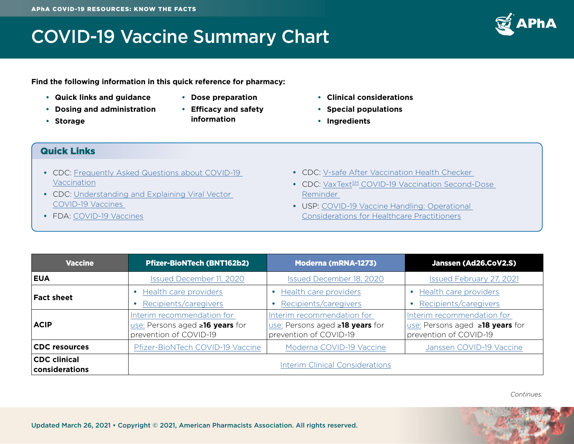### COVID-19 Vaccine Summary Chart



**Find the following information in this quick reference for pharmacy:**

- **• Quick links and guidance**
- **• Dosing and administration**
- **• Storage**
- **• Dose preparation**
- **• Efficacy and safety information**
- **• Clinical considerations**
- **• Special populations**
- **• Ingredients**

#### Quick Links

- **•** CDC: [Frequently Asked Questions about COVID-19](https://www.cdc.gov/coronavirus/2019-ncov/vaccines/faq.html)  [Vaccination](https://www.cdc.gov/coronavirus/2019-ncov/vaccines/faq.html)
- **•** CDC: [Understanding and Explaining Viral Vector](https://www.cdc.gov/vaccines/covid-19/hcp/viral-vector-vaccine-basics.html)  [COVID-19 Vaccines](https://www.cdc.gov/vaccines/covid-19/hcp/viral-vector-vaccine-basics.html)
- **•** FDA: [COVID-19 Vaccines](https://www.fda.gov/emergency-preparedness-and-response/coronavirus-disease-2019-covid-19/covid-19-vaccines)
- **•** CDC: [V-safe After Vaccination Health Checker](https://www.cdc.gov/coronavirus/2019-ncov/vaccines/safety/vsafe.html)
- CDC: VaxText<sup>SM</sup> COVID-19 Vaccination Second-Dose [Reminder](https://www.cdc.gov/vaccines/covid-19/reporting/vaxtext/index.html)
- **•** USP: [COVID-19 Vaccine Handling: Operational](https://www.usp.org/covid-19/vaccine-handling-toolkit)  [Considerations for Healthcare Practitioners](https://www.usp.org/covid-19/vaccine-handling-toolkit)

| <b>Vaccine</b>                        | <b>Pfizer-BioNTech (BNT162b2)</b>                                                                     | <b>Moderna (mRNA-1273)</b>                                                              | Janssen (Ad26.CoV2.S)                                                                   |
|---------------------------------------|-------------------------------------------------------------------------------------------------------|-----------------------------------------------------------------------------------------|-----------------------------------------------------------------------------------------|
| <b>EUA</b>                            | Issued December 11, 2020                                                                              | Issued December 18, 2020                                                                | Issued February 27, 2021                                                                |
| <b>Fact sheet</b>                     | • Health care providers<br>Recipients/caregivers                                                      | Health care providers<br>Recipients/caregivers                                          | Health care providers<br>Recipients/caregivers                                          |
| <b>ACIP</b>                           | Interim recommendation for<br><u>use:</u> Persons aged <b>≥16 years</b> for<br>prevention of COVID-19 | Interim recommendation for<br>use: Persons aged ≥18 years for<br>prevention of COVID-19 | Interim recommendation for<br>use: Persons aged ≥18 years for<br>prevention of COVID-19 |
| <b>CDC</b> resources                  | Pfizer-BioNTech COVID-19 Vaccine                                                                      | Moderna COVID-19 Vaccine                                                                | Janssen COVID-19 Vaccine                                                                |
| <b>CDC clinical</b><br>considerations |                                                                                                       | <b>Interim Clinical Considerations</b>                                                  |                                                                                         |

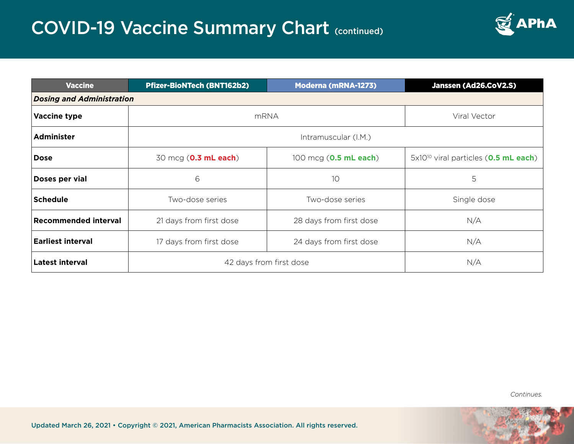

| <b>Vaccine</b>                   | <b>Pfizer-BioNTech (BNT162b2)</b> | <b>Moderna (mRNA-1273)</b>     | Janssen (Ad26.CoV2.S)                                     |  |
|----------------------------------|-----------------------------------|--------------------------------|-----------------------------------------------------------|--|
| <b>Dosing and Administration</b> |                                   |                                |                                                           |  |
| Vaccine type                     | <b>mRNA</b>                       |                                | Viral Vector                                              |  |
| <b>Administer</b>                | Intramuscular (I.M.)              |                                |                                                           |  |
| <b>Dose</b>                      | 30 mcg ( <b>0.3 mL each</b> )     | 100 mcg ( <b>0.5 mL each</b> ) | 5x10 <sup>10</sup> viral particles ( <b>0.5 mL each</b> ) |  |
| Doses per vial                   | 6                                 | 10                             | 5                                                         |  |
| <b>Schedule</b>                  | Two-dose series                   | Two-dose series                | Single dose                                               |  |
| <b>Recommended interval</b>      | 21 days from first dose           | 28 days from first dose        | N/A                                                       |  |
| <b>Earliest interval</b>         | 17 days from first dose           | 24 days from first dose        | N/A                                                       |  |
| <b>Latest interval</b>           | 42 days from first dose           |                                | N/A                                                       |  |

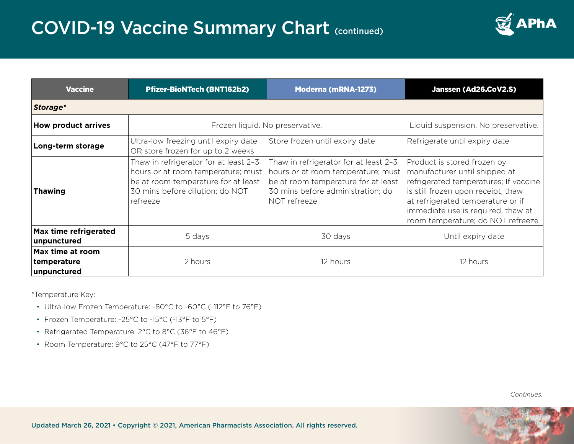

| <b>Vaccine</b>                                 | <b>Pfizer-BioNTech (BNT162b2)</b>                                                                                                                                 | <b>Moderna (mRNA-1273)</b>                                                                                                                                              | Janssen (Ad26.CoV2.S)                                                                                                                                                                                                                                       |
|------------------------------------------------|-------------------------------------------------------------------------------------------------------------------------------------------------------------------|-------------------------------------------------------------------------------------------------------------------------------------------------------------------------|-------------------------------------------------------------------------------------------------------------------------------------------------------------------------------------------------------------------------------------------------------------|
| Storage*                                       |                                                                                                                                                                   |                                                                                                                                                                         |                                                                                                                                                                                                                                                             |
| <b>How product arrives</b>                     | Frozen liquid. No preservative.                                                                                                                                   |                                                                                                                                                                         | Liquid suspension. No preservative.                                                                                                                                                                                                                         |
| Long-term storage                              | Ultra-low freezing until expiry date<br>OR store frozen for up to 2 weeks                                                                                         | Store frozen until expiry date                                                                                                                                          | Refrigerate until expiry date                                                                                                                                                                                                                               |
| <b>Thawing</b>                                 | Thaw in refrigerator for at least 2-3<br>hours or at room temperature; must<br>be at room temperature for at least<br>30 mins before dilution; do NOT<br>refreeze | Thaw in refrigerator for at least 2-3<br>hours or at room temperature; must<br>be at room temperature for at least<br>30 mins before administration; do<br>NOT refreeze | Product is stored frozen by<br>manufacturer until shipped at<br>refrigerated temperatures; If vaccine<br>is still frozen upon receipt, thaw<br>at refrigerated temperature or if<br>immediate use is required, thaw at<br>room temperature; do NOT refreeze |
| Max time refrigerated<br>unpunctured           | 5 days                                                                                                                                                            | 30 days                                                                                                                                                                 | Until expiry date                                                                                                                                                                                                                                           |
| Max time at room<br>temperature<br>unpunctured | 2 hours                                                                                                                                                           | 12 hours                                                                                                                                                                | 12 hours                                                                                                                                                                                                                                                    |

\*Temperature Key:

- Ultra-low Frozen Temperature: -80°C to -60°C (-112°F to 76°F)
- Frozen Temperature: -25°C to -15°C (-13°F to 5°F)
- Refrigerated Temperature: 2°C to 8°C (36°F to 46°F)
- Room Temperature: 9°C to 25°C (47°F to 77°F)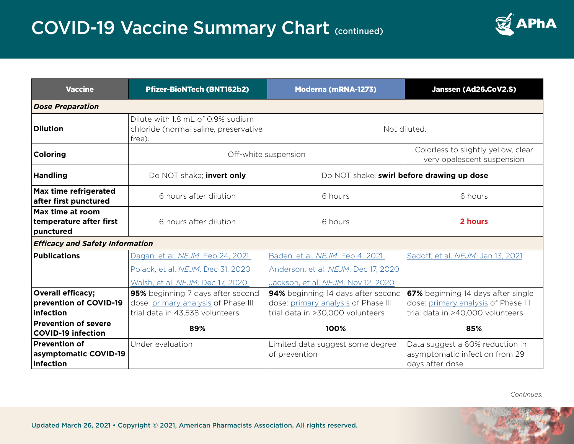

| <b>Vaccine</b>                                             | <b>Pfizer-BioNTech (BNT162b2)</b>                                                    | <b>Moderna (mRNA-1273)</b>                                              | Janssen (Ad26.CoV2.S)                                                                |  |
|------------------------------------------------------------|--------------------------------------------------------------------------------------|-------------------------------------------------------------------------|--------------------------------------------------------------------------------------|--|
| <b>Dose Preparation</b>                                    |                                                                                      |                                                                         |                                                                                      |  |
| <b>Dilution</b>                                            | Dilute with 1.8 mL of 0.9% sodium<br>chloride (normal saline, preservative<br>free). | Not diluted.                                                            |                                                                                      |  |
| Coloring                                                   |                                                                                      | Off-white suspension                                                    | Colorless to slightly yellow, clear<br>very opalescent suspension                    |  |
| <b>Handling</b>                                            | Do NOT shake; invert only                                                            | Do NOT shake; swirl before drawing up dose                              |                                                                                      |  |
| Max time refrigerated<br>after first punctured             | 6 hours after dilution                                                               | 6 hours                                                                 | 6 hours                                                                              |  |
| Max time at room<br>temperature after first<br>punctured   | 6 hours after dilution                                                               | 6 hours                                                                 | 2 hours                                                                              |  |
| <b>Efficacy and Safety Information</b>                     |                                                                                      |                                                                         |                                                                                      |  |
| <b>Publications</b>                                        | Dagan, et al. NEJM. Feb 24, 2021                                                     | Baden, et al. NEJM. Feb 4, 2021                                         | Sadoff, et al. NEJM. Jan 13, 2021                                                    |  |
|                                                            | Polack, et al. NEJM. Dec 31, 2020                                                    | Anderson, et al. NEJM. Dec 17, 2020                                     |                                                                                      |  |
|                                                            | Walsh, et al. NEJM. Dec 17, 2020                                                     | Jackson, et al. NEJM. Nov 12, 2020                                      |                                                                                      |  |
| <b>Overall efficacy;</b>                                   | 95% beginning 7 days after second                                                    | 94% beginning 14 days after second                                      | 67% beginning 14 days after single                                                   |  |
| prevention of COVID-19<br>infection                        | dose: primary analysis of Phase III<br>trial data in 43,538 volunteers               | dose: primary analysis of Phase III<br>trial data in >30,000 volunteers | dose: primary analysis of Phase III<br>trial data in >40,000 volunteers              |  |
| <b>Prevention of severe</b><br><b>COVID-19 infection</b>   | 89%                                                                                  | 100%                                                                    | 85%                                                                                  |  |
| <b>Prevention of</b><br>asymptomatic COVID-19<br>infection | Under evaluation                                                                     | Limited data suggest some degree<br>of prevention                       | Data suggest a 60% reduction in<br>asymptomatic infection from 29<br>days after dose |  |

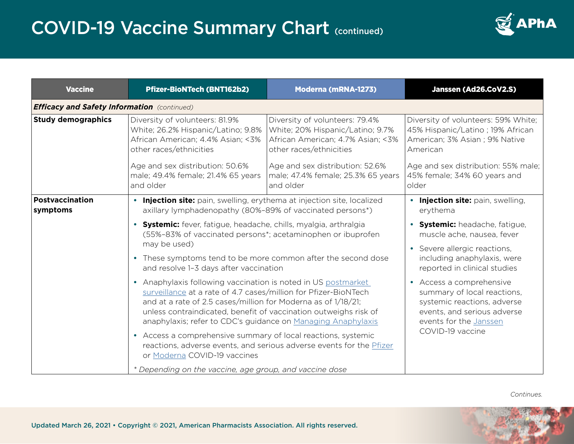

| <b>Vaccine</b>                                     | <b>Pfizer-BioNTech (BNT162b2)</b>                                                                                                                                                                                                                                                                                                                                                                                                                                                                                                                                                                                                                                                                                                                                         | <b>Moderna (mRNA-1273)</b>                                                                                                         | Janssen (Ad26.CoV2.S)                                                                                                                           |
|----------------------------------------------------|---------------------------------------------------------------------------------------------------------------------------------------------------------------------------------------------------------------------------------------------------------------------------------------------------------------------------------------------------------------------------------------------------------------------------------------------------------------------------------------------------------------------------------------------------------------------------------------------------------------------------------------------------------------------------------------------------------------------------------------------------------------------------|------------------------------------------------------------------------------------------------------------------------------------|-------------------------------------------------------------------------------------------------------------------------------------------------|
| <b>Efficacy and Safety Information</b> (continued) |                                                                                                                                                                                                                                                                                                                                                                                                                                                                                                                                                                                                                                                                                                                                                                           |                                                                                                                                    |                                                                                                                                                 |
| <b>Study demographics</b>                          | Diversity of volunteers: 81.9%<br>White; 26.2% Hispanic/Latino; 9.8%<br>African American; 4.4% Asian; <3%<br>other races/ethnicities                                                                                                                                                                                                                                                                                                                                                                                                                                                                                                                                                                                                                                      | Diversity of volunteers: 79.4%<br>White; 20% Hispanic/Latino; 9.7%<br>African American; 4.7% Asian; <3%<br>other races/ethnicities | Diversity of volunteers: 59% White;<br>45% Hispanic/Latino; 19% African<br>American; 3% Asian; 9% Native<br>American                            |
|                                                    | Age and sex distribution: 50.6%<br>male; 49.4% female; 21.4% 65 years<br>and older                                                                                                                                                                                                                                                                                                                                                                                                                                                                                                                                                                                                                                                                                        | Age and sex distribution: 52.6%<br>male; 47.4% female; 25.3% 65 years<br>and older                                                 | Age and sex distribution: 55% male;<br>45% female; 34% 60 years and<br>older                                                                    |
| <b>Postvaccination</b><br>symptoms                 | • Injection site: pain, swelling, erythema at injection site, localized<br>axillary lymphadenopathy (80%-89% of vaccinated persons*)<br><b>Systemic:</b> fever, fatigue, headache, chills, myalgia, arthralgia<br>$\bullet$<br>(55%-83% of vaccinated persons*; acetaminophen or ibuprofen<br>may be used)<br>• These symptoms tend to be more common after the second dose<br>and resolve 1-3 days after vaccination<br>Anaphylaxis following vaccination is noted in US postmarket<br>$\bullet$<br>surveillance at a rate of 4.7 cases/million for Pfizer-BioNTech<br>and at a rate of 2.5 cases/million for Moderna as of 1/18/21;<br>unless contraindicated, benefit of vaccination outweighs risk of<br>anaphylaxis; refer to CDC's guidance on Managing Anaphylaxis |                                                                                                                                    | <b>· Injection site:</b> pain, swelling,<br>erythema                                                                                            |
|                                                    |                                                                                                                                                                                                                                                                                                                                                                                                                                                                                                                                                                                                                                                                                                                                                                           |                                                                                                                                    | • Systemic: headache, fatigue,<br>muscle ache, nausea, fever<br>• Severe allergic reactions,                                                    |
|                                                    |                                                                                                                                                                                                                                                                                                                                                                                                                                                                                                                                                                                                                                                                                                                                                                           |                                                                                                                                    | including anaphylaxis, were<br>reported in clinical studies                                                                                     |
|                                                    |                                                                                                                                                                                                                                                                                                                                                                                                                                                                                                                                                                                                                                                                                                                                                                           |                                                                                                                                    | • Access a comprehensive<br>summary of local reactions,<br>systemic reactions, adverse<br>events, and serious adverse<br>events for the Janssen |
|                                                    | • Access a comprehensive summary of local reactions, systemic<br>or Moderna COVID-19 vaccines                                                                                                                                                                                                                                                                                                                                                                                                                                                                                                                                                                                                                                                                             | reactions, adverse events, and serious adverse events for the Pfizer                                                               | COVID-19 vaccine                                                                                                                                |
|                                                    | * Depending on the vaccine, age group, and vaccine dose                                                                                                                                                                                                                                                                                                                                                                                                                                                                                                                                                                                                                                                                                                                   |                                                                                                                                    |                                                                                                                                                 |

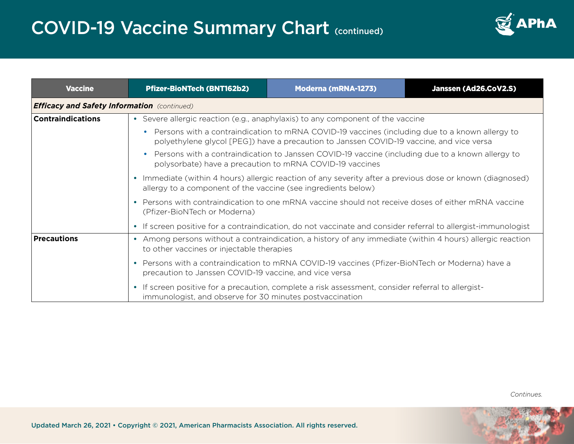

| <b>Vaccine</b>           | <b>Pfizer-BioNTech (BNT162b2)</b>                                                                                                                                                                                                                                                                                            | <b>Moderna (mRNA-1273)</b>                                                                         | Janssen (Ad26.CoV2.S) |  |  |  |
|--------------------------|------------------------------------------------------------------------------------------------------------------------------------------------------------------------------------------------------------------------------------------------------------------------------------------------------------------------------|----------------------------------------------------------------------------------------------------|-----------------------|--|--|--|
|                          | <b>Efficacy and Safety Information</b> (continued)                                                                                                                                                                                                                                                                           |                                                                                                    |                       |  |  |  |
| <b>Contraindications</b> | • Severe allergic reaction (e.g., anaphylaxis) to any component of the vaccine                                                                                                                                                                                                                                               |                                                                                                    |                       |  |  |  |
|                          | • Persons with a contraindication to mRNA COVID-19 vaccines (including due to a known allergy to<br>polyethylene glycol [PEG]) have a precaution to Janssen COVID-19 vaccine, and vice versa                                                                                                                                 |                                                                                                    |                       |  |  |  |
|                          | Persons with a contraindication to Janssen COVID-19 vaccine (including due to a known allergy to<br>polysorbate) have a precaution to mRNA COVID-19 vaccines                                                                                                                                                                 |                                                                                                    |                       |  |  |  |
|                          | • Immediate (within 4 hours) allergic reaction of any severity after a previous dose or known (diagnosed)<br>allergy to a component of the vaccine (see ingredients below)<br>Persons with contraindication to one mRNA vaccine should not receive doses of either mRNA vaccine<br>$\bullet$<br>(Pfizer-BioNTech or Moderna) |                                                                                                    |                       |  |  |  |
|                          |                                                                                                                                                                                                                                                                                                                              |                                                                                                    |                       |  |  |  |
|                          | • If screen positive for a contraindication, do not vaccinate and consider referral to allergist-immunologist                                                                                                                                                                                                                |                                                                                                    |                       |  |  |  |
| <b>Precautions</b>       | • Among persons without a contraindication, a history of any immediate (within 4 hours) allergic reaction<br>to other vaccines or injectable therapies                                                                                                                                                                       |                                                                                                    |                       |  |  |  |
|                          | • Persons with a contraindication to mRNA COVID-19 vaccines (Pfizer-BioNTech or Moderna) have a<br>precaution to Janssen COVID-19 vaccine, and vice versa                                                                                                                                                                    |                                                                                                    |                       |  |  |  |
|                          | immunologist, and observe for 30 minutes postvaccination                                                                                                                                                                                                                                                                     | • If screen positive for a precaution, complete a risk assessment, consider referral to allergist- |                       |  |  |  |

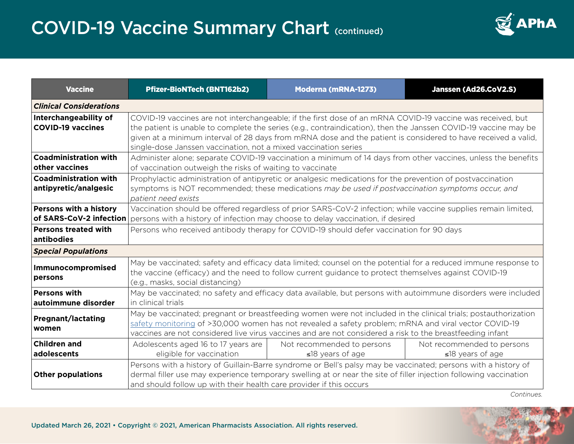

| <b>Vaccine</b>                                        | <b>Pfizer-BioNTech (BNT162b2)</b>                                                                                                                                                                                                                                                                                                                                                                                 | <b>Moderna (mRNA-1273)</b>                           | Janssen (Ad26.CoV2.S)                                |  |
|-------------------------------------------------------|-------------------------------------------------------------------------------------------------------------------------------------------------------------------------------------------------------------------------------------------------------------------------------------------------------------------------------------------------------------------------------------------------------------------|------------------------------------------------------|------------------------------------------------------|--|
| <b>Clinical Considerations</b>                        |                                                                                                                                                                                                                                                                                                                                                                                                                   |                                                      |                                                      |  |
| Interchangeability of<br><b>COVID-19 vaccines</b>     | COVID-19 vaccines are not interchangeable; if the first dose of an mRNA COVID-19 vaccine was received, but<br>the patient is unable to complete the series (e.g., contraindication), then the Janssen COVID-19 vaccine may be<br>given at a minimum interval of 28 days from mRNA dose and the patient is considered to have received a valid,<br>single-dose Janssen vaccination, not a mixed vaccination series |                                                      |                                                      |  |
| <b>Coadministration with</b><br>other vaccines        | Administer alone; separate COVID-19 vaccination a minimum of 14 days from other vaccines, unless the benefits<br>of vaccination outweigh the risks of waiting to vaccinate                                                                                                                                                                                                                                        |                                                      |                                                      |  |
| <b>Coadministration with</b><br>antipyretic/analgesic | Prophylactic administration of antipyretic or analgesic medications for the prevention of postvaccination<br>symptoms is NOT recommended; these medications may be used if postvaccination symptoms occur, and<br>patient need exists                                                                                                                                                                             |                                                      |                                                      |  |
| Persons with a history                                | Vaccination should be offered regardless of prior SARS-CoV-2 infection; while vaccine supplies remain limited,<br>of SARS-CoV-2 infection   persons with a history of infection may choose to delay vaccination, if desired                                                                                                                                                                                       |                                                      |                                                      |  |
| <b>Persons treated with</b><br>antibodies             | Persons who received antibody therapy for COVID-19 should defer vaccination for 90 days                                                                                                                                                                                                                                                                                                                           |                                                      |                                                      |  |
| <b>Special Populations</b>                            |                                                                                                                                                                                                                                                                                                                                                                                                                   |                                                      |                                                      |  |
| Immunocompromised<br>persons                          | May be vaccinated; safety and efficacy data limited; counsel on the potential for a reduced immune response to<br>the vaccine (efficacy) and the need to follow current guidance to protect themselves against COVID-19<br>(e.g., masks, social distancing)                                                                                                                                                       |                                                      |                                                      |  |
| <b>Persons with</b><br>autoimmune disorder            | May be vaccinated; no safety and efficacy data available, but persons with autoimmune disorders were included<br>in clinical trials                                                                                                                                                                                                                                                                               |                                                      |                                                      |  |
| <b>Pregnant/lactating</b><br>women                    | May be vaccinated; pregnant or breastfeeding women were not included in the clinical trials; postauthorization<br>safety monitoring of >30,000 women has not revealed a safety problem; mRNA and viral vector COVID-19<br>vaccines are not considered live virus vaccines and are not considered a risk to the breastfeeding infant                                                                               |                                                      |                                                      |  |
| <b>Children and</b><br>adolescents                    | Adolescents aged 16 to 17 years are<br>eligible for vaccination                                                                                                                                                                                                                                                                                                                                                   | Not recommended to persons<br>$\leq$ 18 years of age | Not recommended to persons<br>$\leq$ 18 years of age |  |
| <b>Other populations</b>                              | Persons with a history of Guillain-Barre syndrome or Bell's palsy may be vaccinated; persons with a history of<br>dermal filler use may experience temporary swelling at or near the site of filler injection following vaccination<br>and should follow up with their health care provider if this occurs                                                                                                        |                                                      |                                                      |  |